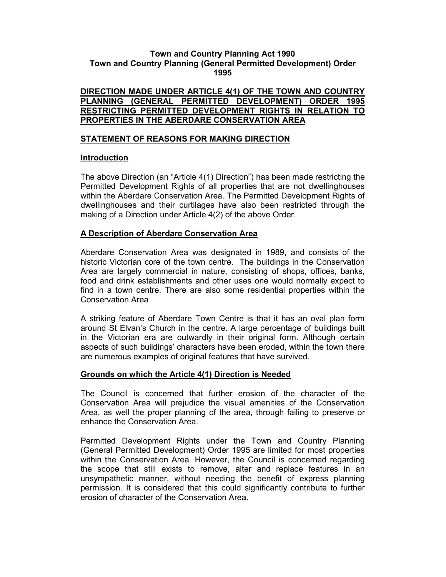#### Town and Country Planning Act 1990 Town and Country Planning (General Permitted Development) Order 1995

#### DIRECTION MADE UNDER ARTICLE 4(1) OF THE TOWN AND COUNTRY PLANNING (GENERAL PERMITTED DEVELOPMENT) ORDER 1995 RESTRICTING PERMITTED DEVELOPMENT RIGHTS IN RELATION TO PROPERTIES IN THE ABERDARE CONSERVATION AREA

## STATEMENT OF REASONS FOR MAKING DIRECTION

#### Introduction

The above Direction (an "Article 4(1) Direction") has been made restricting the Permitted Development Rights of all properties that are not dwellinghouses within the Aberdare Conservation Area. The Permitted Development Rights of dwellinghouses and their curtilages have also been restricted through the making of a Direction under Article 4(2) of the above Order.

## A Description of Aberdare Conservation Area

Aberdare Conservation Area was designated in 1989, and consists of the historic Victorian core of the town centre. The buildings in the Conservation Area are largely commercial in nature, consisting of shops, offices, banks, food and drink establishments and other uses one would normally expect to find in a town centre. There are also some residential properties within the Conservation Area

A striking feature of Aberdare Town Centre is that it has an oval plan form around St Elvan's Church in the centre. A large percentage of buildings built in the Victorian era are outwardly in their original form. Although certain aspects of such buildings' characters have been eroded, within the town there are numerous examples of original features that have survived.

#### Grounds on which the Article 4(1) Direction is Needed

The Council is concerned that further erosion of the character of the Conservation Area will prejudice the visual amenities of the Conservation Area, as well the proper planning of the area, through failing to preserve or enhance the Conservation Area.

Permitted Development Rights under the Town and Country Planning (General Permitted Development) Order 1995 are limited for most properties within the Conservation Area. However, the Council is concerned regarding the scope that still exists to remove, alter and replace features in an unsympathetic manner, without needing the benefit of express planning permission. It is considered that this could significantly contribute to further erosion of character of the Conservation Area.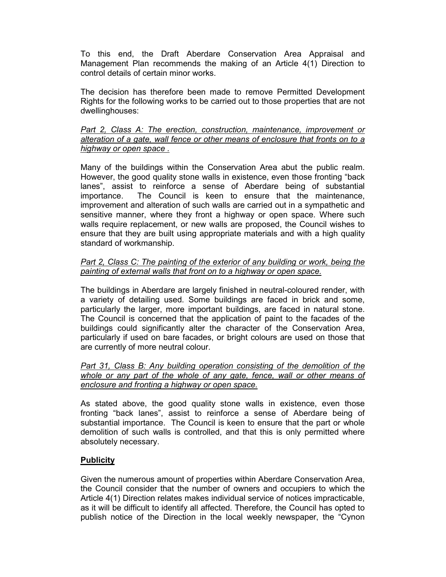To this end, the Draft Aberdare Conservation Area Appraisal and Management Plan recommends the making of an Article 4(1) Direction to control details of certain minor works.

The decision has therefore been made to remove Permitted Development Rights for the following works to be carried out to those properties that are not dwellinghouses:

Part 2, Class A: The erection, construction, maintenance, improvement or alteration of a gate, wall fence or other means of enclosure that fronts on to a highway or open space .

Many of the buildings within the Conservation Area abut the public realm. However, the good quality stone walls in existence, even those fronting "back lanes", assist to reinforce a sense of Aberdare being of substantial importance. The Council is keen to ensure that the maintenance, improvement and alteration of such walls are carried out in a sympathetic and sensitive manner, where they front a highway or open space. Where such walls require replacement, or new walls are proposed, the Council wishes to ensure that they are built using appropriate materials and with a high quality standard of workmanship.

### Part 2, Class C: The painting of the exterior of any building or work, being the painting of external walls that front on to a highway or open space.

The buildings in Aberdare are largely finished in neutral-coloured render, with a variety of detailing used. Some buildings are faced in brick and some, particularly the larger, more important buildings, are faced in natural stone. The Council is concerned that the application of paint to the facades of the buildings could significantly alter the character of the Conservation Area, particularly if used on bare facades, or bright colours are used on those that are currently of more neutral colour.

#### Part 31, Class B: Any building operation consisting of the demolition of the whole or any part of the whole of any gate, fence, wall or other means of enclosure and fronting a highway or open space.

As stated above, the good quality stone walls in existence, even those fronting "back lanes", assist to reinforce a sense of Aberdare being of substantial importance. The Council is keen to ensure that the part or whole demolition of such walls is controlled, and that this is only permitted where absolutely necessary.

## **Publicity**

Given the numerous amount of properties within Aberdare Conservation Area, the Council consider that the number of owners and occupiers to which the Article 4(1) Direction relates makes individual service of notices impracticable, as it will be difficult to identify all affected. Therefore, the Council has opted to publish notice of the Direction in the local weekly newspaper, the "Cynon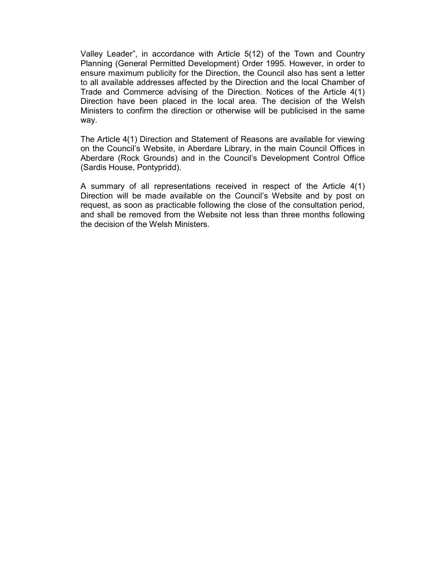Valley Leader", in accordance with Article 5(12) of the Town and Country Planning (General Permitted Development) Order 1995. However, in order to ensure maximum publicity for the Direction, the Council also has sent a letter to all available addresses affected by the Direction and the local Chamber of Trade and Commerce advising of the Direction. Notices of the Article 4(1) Direction have been placed in the local area. The decision of the Welsh Ministers to confirm the direction or otherwise will be publicised in the same way.

The Article 4(1) Direction and Statement of Reasons are available for viewing on the Council's Website, in Aberdare Library, in the main Council Offices in Aberdare (Rock Grounds) and in the Council's Development Control Office (Sardis House, Pontypridd).

A summary of all representations received in respect of the Article 4(1) Direction will be made available on the Council's Website and by post on request, as soon as practicable following the close of the consultation period, and shall be removed from the Website not less than three months following the decision of the Welsh Ministers.